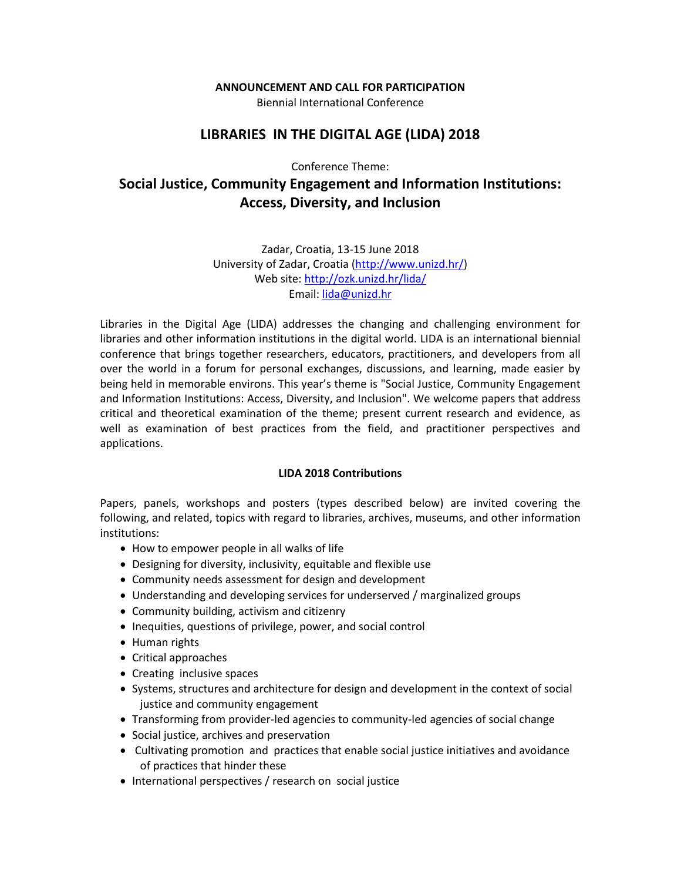#### **ANNOUNCEMENT AND CALL FOR PARTICIPATION**

Biennial International Conference

# **LIBRARIES IN THE DIGITAL AGE (LIDA) 2018**

Conference Theme:

# **Social Justice, Community Engagement and Information Institutions: Access, Diversity, and Inclusion**

Zadar, Croatia, 13-15 June 2018 University of Zadar, Croatia [\(http://www.unizd.hr/\)](http://www.unizd.hr/) Web site[: http://ozk.unizd.hr/lida/](http://ozk.unizd.hr/lida/) Email[: lida@unizd.hr](mailto:lida@unizd.hr)

Libraries in the Digital Age (LIDA) addresses the changing and challenging environment for libraries and other information institutions in the digital world. LIDA is an international biennial conference that brings together researchers, educators, practitioners, and developers from all over the world in a forum for personal exchanges, discussions, and learning, made easier by being held in memorable environs. This year's theme is "Social Justice, Community Engagement and Information Institutions: Access, Diversity, and Inclusion". We welcome papers that address critical and theoretical examination of the theme; present current research and evidence, as well as examination of best practices from the field, and practitioner perspectives and applications.

#### **LIDA 2018 Contributions**

Papers, panels, workshops and posters (types described below) are invited covering the following, and related, topics with regard to libraries, archives, museums, and other information institutions:

- How to empower people in all walks of life
- Designing for diversity, inclusivity, equitable and flexible use
- Community needs assessment for design and development
- Understanding and developing services for underserved / marginalized groups
- Community building, activism and citizenry
- Inequities, questions of privilege, power, and social control
- Human rights
- Critical approaches
- Creating inclusive spaces
- Systems, structures and architecture for design and development in the context of social justice and community engagement
- Transforming from provider-led agencies to community-led agencies of social change
- Social justice, archives and preservation
- Cultivating promotion and practices that enable social justice initiatives and avoidance of practices that hinder these
- International perspectives / research on social justice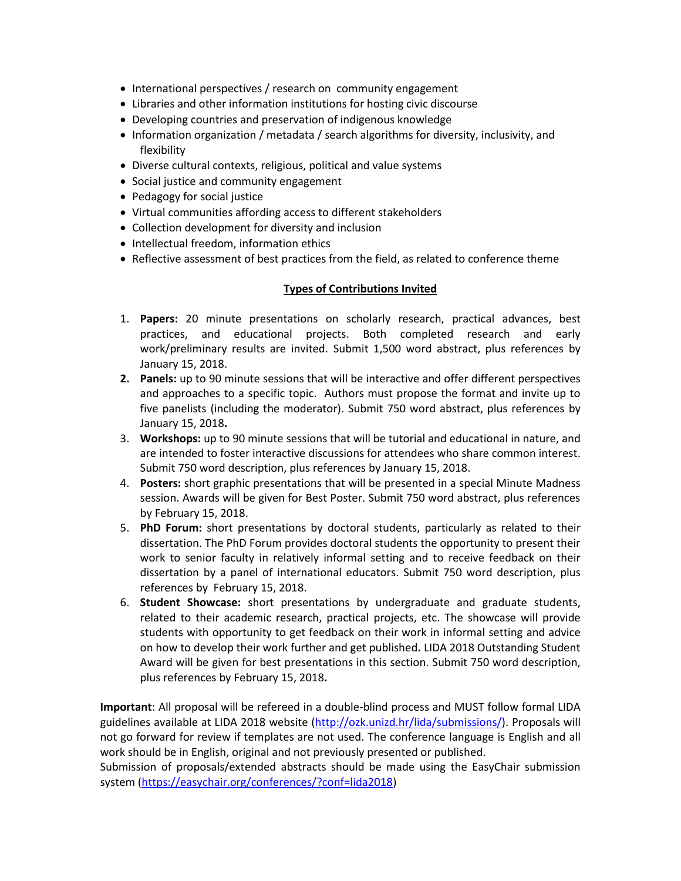- International perspectives / research on community engagement
- Libraries and other information institutions for hosting civic discourse
- Developing countries and preservation of indigenous knowledge
- Information organization / metadata / search algorithms for diversity, inclusivity, and flexibility
- Diverse cultural contexts, religious, political and value systems
- Social justice and community engagement
- Pedagogy for social justice
- Virtual communities affording access to different stakeholders
- Collection development for diversity and inclusion
- Intellectual freedom, information ethics
- Reflective assessment of best practices from the field, as related to conference theme

#### **Types of Contributions Invited**

- 1. **Papers:** 20 minute presentations on scholarly research, practical advances, best practices, and educational projects. Both completed research and early work/preliminary results are invited. Submit 1,500 word abstract, plus references by January 15, 2018.
- **2. Panels:** up to 90 minute sessions that will be interactive and offer different perspectives and approaches to a specific topic. Authors must propose the format and invite up to five panelists (including the moderator). Submit 750 word abstract, plus references by January 15, 2018**.**
- 3. **Workshops:** up to 90 minute sessions that will be tutorial and educational in nature, and are intended to foster interactive discussions for attendees who share common interest. Submit 750 word description, plus references by January 15, 2018.
- 4. **Posters:** short graphic presentations that will be presented in a special Minute Madness session. Awards will be given for Best Poster. Submit 750 word abstract, plus references by February 15, 2018.
- 5. **PhD Forum:** short presentations by doctoral students, particularly as related to their dissertation. The PhD Forum provides doctoral students the opportunity to present their work to senior faculty in relatively informal setting and to receive feedback on their dissertation by a panel of international educators. Submit 750 word description, plus references by February 15, 2018.
- 6. **Student Showcase:** short presentations by undergraduate and graduate students, related to their academic research, practical projects, etc. The showcase will provide students with opportunity to get feedback on their work in informal setting and advice on how to develop their work further and get published**.** LIDA 2018 Outstanding Student Award will be given for best presentations in this section. Submit 750 word description, plus references by February 15, 2018**.**

**Important**: All proposal will be refereed in a double-blind process and MUST follow formal LIDA guidelines available at LIDA 2018 website [\(http://ozk.unizd.hr/lida/submissions/\)](http://ozk.unizd.hr/lida/submissions/). Proposals will not go forward for review if templates are not used. The conference language is English and all work should be in English, original and not previously presented or published.

Submission of proposals/extended abstracts should be made using the EasyChair submission system [\(https://easychair.org/conferences/?conf=lida2018\)](https://easychair.org/conferences/?conf=lida2018)